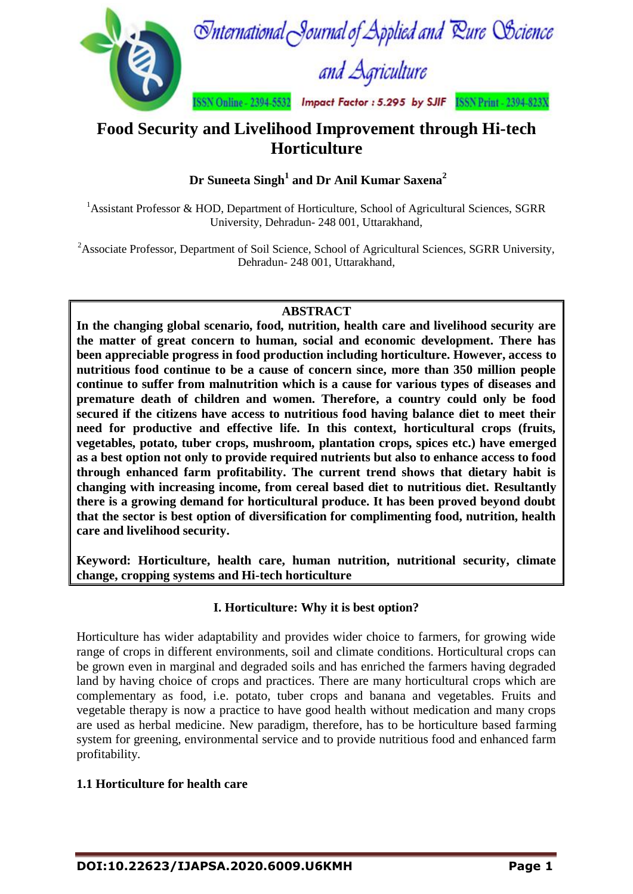

# **Food Security and Livelihood Improvement through Hi-tech Horticulture**

**Dr Suneeta Singh<sup>1</sup> and Dr Anil Kumar Saxena<sup>2</sup>**

<sup>1</sup>Assistant Professor & HOD, Department of Horticulture, School of Agricultural Sciences, SGRR University, Dehradun- 248 001, Uttarakhand,

<sup>2</sup>Associate Professor, Department of Soil Science, School of Agricultural Sciences, SGRR University, Dehradun- 248 001, Uttarakhand,

# **ABSTRACT**

**In the changing global scenario, food, nutrition, health care and livelihood security are the matter of great concern to human, social and economic development. There has been appreciable progress in food production including horticulture. However, access to nutritious food continue to be a cause of concern since, more than 350 million people continue to suffer from malnutrition which is a cause for various types of diseases and premature death of children and women. Therefore, a country could only be food secured if the citizens have access to nutritious food having balance diet to meet their need for productive and effective life. In this context, horticultural crops (fruits, vegetables, potato, tuber crops, mushroom, plantation crops, spices etc.) have emerged as a best option not only to provide required nutrients but also to enhance access to food through enhanced farm profitability. The current trend shows that dietary habit is changing with increasing income, from cereal based diet to nutritious diet. Resultantly there is a growing demand for horticultural produce. It has been proved beyond doubt that the sector is best option of diversification for complimenting food, nutrition, health care and livelihood security.** 

**Keyword: Horticulture, health care, human nutrition, nutritional security, climate change, cropping systems and Hi-tech horticulture**

# **I. Horticulture: Why it is best option?**

Horticulture has wider adaptability and provides wider choice to farmers, for growing wide range of crops in different environments, soil and climate conditions. Horticultural crops can be grown even in marginal and degraded soils and has enriched the farmers having degraded land by having choice of crops and practices. There are many horticultural crops which are complementary as food, i.e. potato, tuber crops and banana and vegetables. Fruits and vegetable therapy is now a practice to have good health without medication and many crops are used as herbal medicine. New paradigm, therefore, has to be horticulture based farming system for greening, environmental service and to provide nutritious food and enhanced farm profitability.

## **1.1 Horticulture for health care**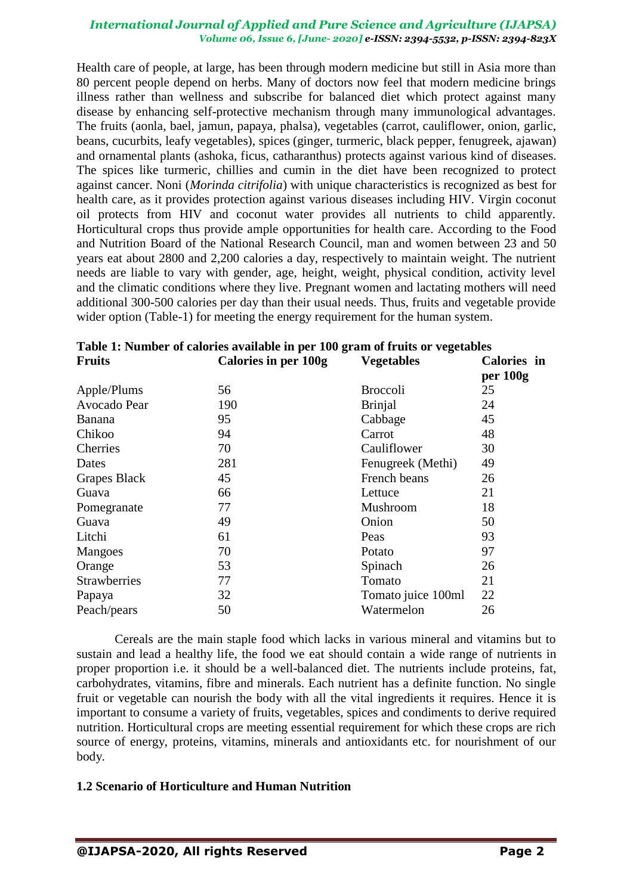Health care of people, at large, has been through modern medicine but still in Asia more than 80 percent people depend on herbs. Many of doctors now feel that modern medicine brings illness rather than wellness and subscribe for balanced diet which protect against many disease by enhancing self-protective mechanism through many immunological advantages. The fruits (aonla, bael, jamun, papaya, phalsa), vegetables (carrot, cauliflower, onion, garlic, beans, cucurbits, leafy vegetables), spices (ginger, turmeric, black pepper, fenugreek, ajawan) and ornamental plants (ashoka, ficus, catharanthus) protects against various kind of diseases. The spices like turmeric, chillies and cumin in the diet have been recognized to protect against cancer. Noni (*Morinda citrifolia*) with unique characteristics is recognized as best for health care, as it provides protection against various diseases including HIV. Virgin coconut oil protects from HIV and coconut water provides all nutrients to child apparently. Horticultural crops thus provide ample opportunities for health care. According to the Food and Nutrition Board of the National Research Council, man and women between 23 and 50 years eat about 2800 and 2,200 calories a day, respectively to maintain weight. The nutrient needs are liable to vary with gender, age, height, weight, physical condition, activity level and the climatic conditions where they live. Pregnant women and lactating mothers will need additional 300-500 calories per day than their usual needs. Thus, fruits and vegetable provide wider option (Table-1) for meeting the energy requirement for the human system.

| <b>Calories in per 100g</b> | <b>Vegetables</b>  | Calories in |
|-----------------------------|--------------------|-------------|
|                             |                    | per 100g    |
| 56                          | <b>Broccoli</b>    | 25          |
| 190                         | <b>Brinjal</b>     | 24          |
| 95                          | Cabbage            | 45          |
| 94                          | Carrot             | 48          |
| 70                          | Cauliflower        | 30          |
| 281                         | Fenugreek (Methi)  | 49          |
| 45                          | French beans       | 26          |
| 66                          | Lettuce            | 21          |
| 77                          | Mushroom           | 18          |
| 49                          | Onion              | 50          |
| 61                          | Peas               | 93          |
| 70                          | Potato             | 97          |
| 53                          | Spinach            | 26          |
| 77                          | Tomato             | 21          |
| 32                          | Tomato juice 100ml | 22          |
| 50                          | Watermelon         | 26          |
|                             |                    |             |

|                 | Table 1: Number of calories available in per 100 gram of fruits or vegetables |  |
|-----------------|-------------------------------------------------------------------------------|--|
| <b>December</b> | $C1$ , $\ldots$ , $\ldots$ , $1001$ $\ldots$ , $\ldots$ , $\ldots$            |  |

Cereals are the main staple food which lacks in various mineral and vitamins but to sustain and lead a healthy life, the food we eat should contain a wide range of nutrients in proper proportion i.e. it should be a well-balanced diet. The nutrients include proteins, fat, carbohydrates, vitamins, fibre and minerals. Each nutrient has a definite function. No single fruit or vegetable can nourish the body with all the vital ingredients it requires. Hence it is important to consume a variety of fruits, vegetables, spices and condiments to derive required nutrition. Horticultural crops are meeting essential requirement for which these crops are rich source of energy, proteins, vitamins, minerals and antioxidants etc. for nourishment of our body.

## **1.2 Scenario of Horticulture and Human Nutrition**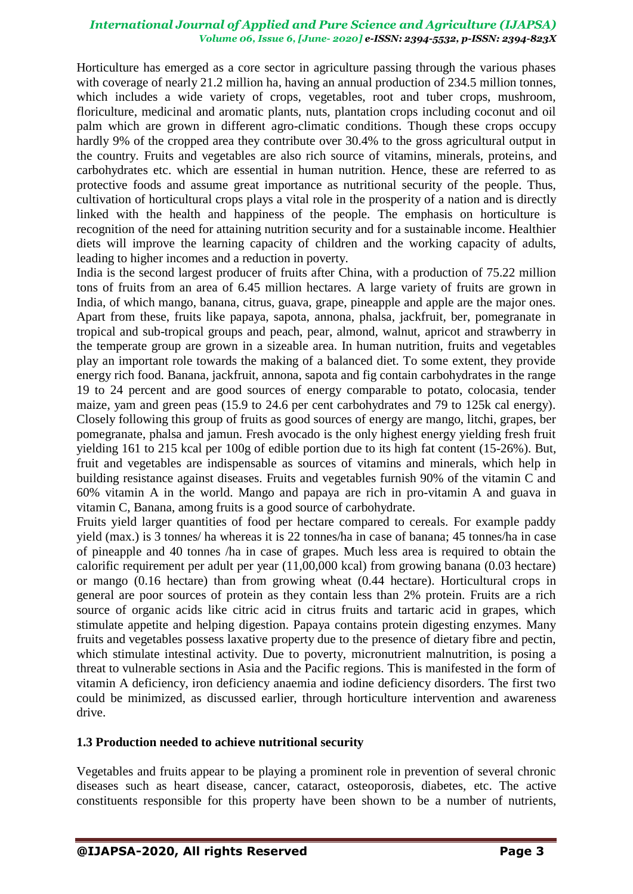Horticulture has emerged as a core sector in agriculture passing through the various phases with coverage of nearly 21.2 million ha, having an annual production of 234.5 million tonnes, which includes a wide variety of crops, vegetables, root and tuber crops, mushroom, floriculture, medicinal and aromatic plants, nuts, plantation crops including coconut and oil palm which are grown in different agro-climatic conditions. Though these crops occupy hardly 9% of the cropped area they contribute over 30.4% to the gross agricultural output in the country. Fruits and vegetables are also rich source of vitamins, minerals, proteins, and carbohydrates etc. which are essential in human nutrition. Hence, these are referred to as protective foods and assume great importance as nutritional security of the people. Thus, cultivation of horticultural crops plays a vital role in the prosperity of a nation and is directly linked with the health and happiness of the people. The emphasis on horticulture is recognition of the need for attaining nutrition security and for a sustainable income. Healthier diets will improve the learning capacity of children and the working capacity of adults, leading to higher incomes and a reduction in poverty.

India is the second largest producer of fruits after China, with a production of 75.22 million tons of fruits from an area of 6.45 million hectares. A large variety of fruits are grown in India, of which mango, banana, citrus, guava, grape, pineapple and apple are the major ones. Apart from these, fruits like papaya, sapota, annona, phalsa, jackfruit, ber, pomegranate in tropical and sub-tropical groups and peach, pear, almond, walnut, apricot and strawberry in the temperate group are grown in a sizeable area. In human nutrition, fruits and vegetables play an important role towards the making of a balanced diet. To some extent, they provide energy rich food. Banana, jackfruit, annona, sapota and fig contain carbohydrates in the range 19 to 24 percent and are good sources of energy comparable to potato, colocasia, tender maize, yam and green peas (15.9 to 24.6 per cent carbohydrates and 79 to 125k cal energy). Closely following this group of fruits as good sources of energy are mango, litchi, grapes, ber pomegranate, phalsa and jamun. Fresh avocado is the only highest energy yielding fresh fruit yielding 161 to 215 kcal per 100g of edible portion due to its high fat content (15-26%). But, fruit and vegetables are indispensable as sources of vitamins and minerals, which help in building resistance against diseases. Fruits and vegetables furnish 90% of the vitamin C and 60% vitamin A in the world. Mango and papaya are rich in pro-vitamin A and guava in vitamin C, Banana, among fruits is a good source of carbohydrate.

Fruits yield larger quantities of food per hectare compared to cereals. For example paddy yield (max.) is 3 tonnes/ ha whereas it is 22 tonnes/ha in case of banana; 45 tonnes/ha in case of pineapple and 40 tonnes /ha in case of grapes. Much less area is required to obtain the calorific requirement per adult per year (11,00,000 kcal) from growing banana (0.03 hectare) or mango (0.16 hectare) than from growing wheat (0.44 hectare). Horticultural crops in general are poor sources of protein as they contain less than 2% protein. Fruits are a rich source of organic acids like citric acid in citrus fruits and tartaric acid in grapes, which stimulate appetite and helping digestion. Papaya contains protein digesting enzymes. Many fruits and vegetables possess laxative property due to the presence of dietary fibre and pectin, which stimulate intestinal activity. Due to poverty, micronutrient malnutrition, is posing a threat to vulnerable sections in Asia and the Pacific regions. This is manifested in the form of vitamin A deficiency, iron deficiency anaemia and iodine deficiency disorders. The first two could be minimized, as discussed earlier, through horticulture intervention and awareness drive.

## **1.3 Production needed to achieve nutritional security**

Vegetables and fruits appear to be playing a prominent role in prevention of several chronic diseases such as heart disease, cancer, cataract, osteoporosis, diabetes, etc. The active constituents responsible for this property have been shown to be a number of nutrients,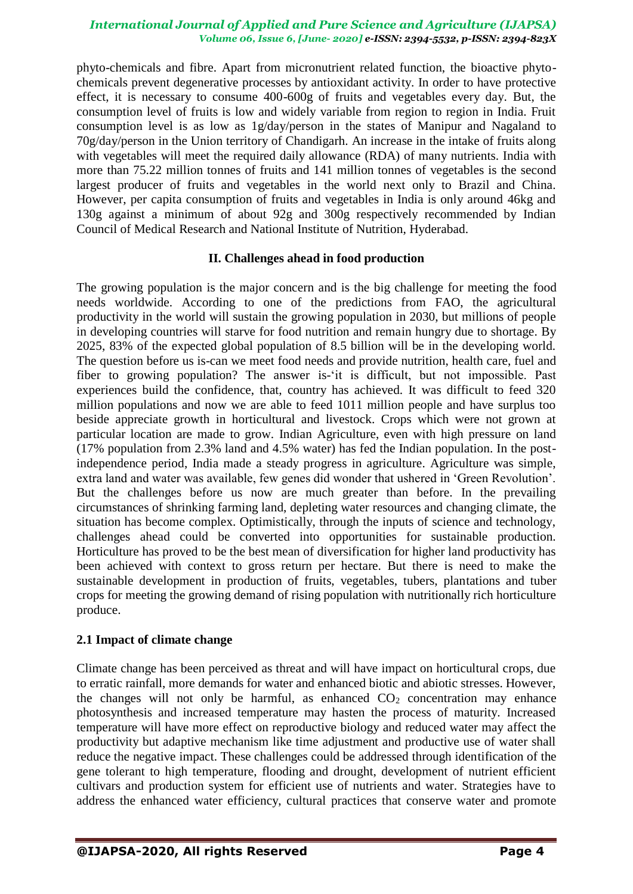phyto-chemicals and fibre. Apart from micronutrient related function, the bioactive phytochemicals prevent degenerative processes by antioxidant activity. In order to have protective effect, it is necessary to consume 400-600g of fruits and vegetables every day. But, the consumption level of fruits is low and widely variable from region to region in India. Fruit consumption level is as low as 1g/day/person in the states of Manipur and Nagaland to 70g/day/person in the Union territory of Chandigarh. An increase in the intake of fruits along with vegetables will meet the required daily allowance (RDA) of many nutrients. India with more than 75.22 million tonnes of fruits and 141 million tonnes of vegetables is the second largest producer of fruits and vegetables in the world next only to Brazil and China. However, per capita consumption of fruits and vegetables in India is only around 46kg and 130g against a minimum of about 92g and 300g respectively recommended by Indian Council of Medical Research and National Institute of Nutrition, Hyderabad.

## **II. Challenges ahead in food production**

The growing population is the major concern and is the big challenge for meeting the food needs worldwide. According to one of the predictions from FAO, the agricultural productivity in the world will sustain the growing population in 2030, but millions of people in developing countries will starve for food nutrition and remain hungry due to shortage. By 2025, 83% of the expected global population of 8.5 billion will be in the developing world. The question before us is-can we meet food needs and provide nutrition, health care, fuel and fiber to growing population? The answer is-'it is difficult, but not impossible. Past experiences build the confidence, that, country has achieved. It was difficult to feed 320 million populations and now we are able to feed 1011 million people and have surplus too beside appreciate growth in horticultural and livestock. Crops which were not grown at particular location are made to grow. Indian Agriculture, even with high pressure on land (17% population from 2.3% land and 4.5% water) has fed the Indian population. In the postindependence period, India made a steady progress in agriculture. Agriculture was simple, extra land and water was available, few genes did wonder that ushered in "Green Revolution". But the challenges before us now are much greater than before. In the prevailing circumstances of shrinking farming land, depleting water resources and changing climate, the situation has become complex. Optimistically, through the inputs of science and technology, challenges ahead could be converted into opportunities for sustainable production. Horticulture has proved to be the best mean of diversification for higher land productivity has been achieved with context to gross return per hectare. But there is need to make the sustainable development in production of fruits, vegetables, tubers, plantations and tuber crops for meeting the growing demand of rising population with nutritionally rich horticulture produce.

## **2.1 Impact of climate change**

Climate change has been perceived as threat and will have impact on horticultural crops, due to erratic rainfall, more demands for water and enhanced biotic and abiotic stresses. However, the changes will not only be harmful, as enhanced  $CO<sub>2</sub>$  concentration may enhance photosynthesis and increased temperature may hasten the process of maturity. Increased temperature will have more effect on reproductive biology and reduced water may affect the productivity but adaptive mechanism like time adjustment and productive use of water shall reduce the negative impact. These challenges could be addressed through identification of the gene tolerant to high temperature, flooding and drought, development of nutrient efficient cultivars and production system for efficient use of nutrients and water. Strategies have to address the enhanced water efficiency, cultural practices that conserve water and promote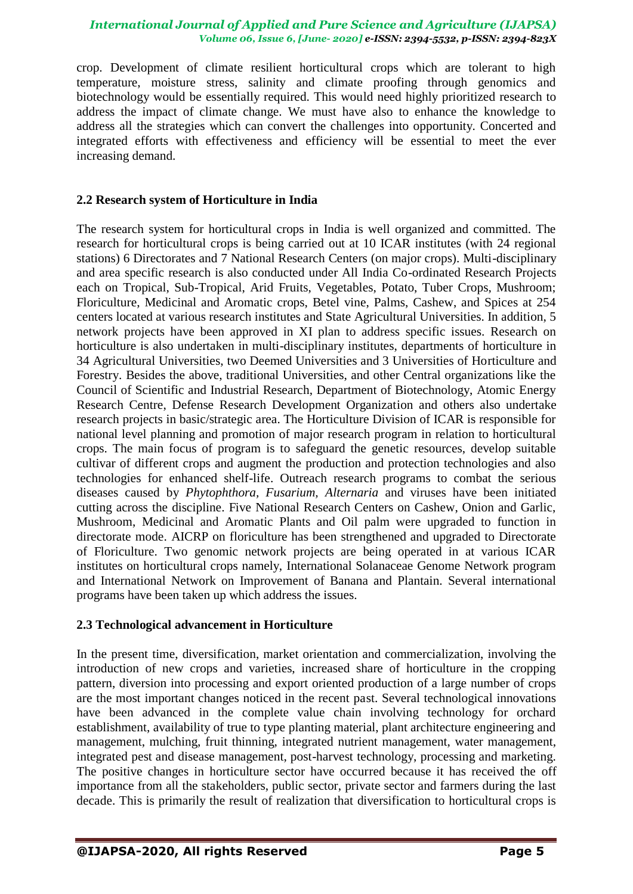crop. Development of climate resilient horticultural crops which are tolerant to high temperature, moisture stress, salinity and climate proofing through genomics and biotechnology would be essentially required. This would need highly prioritized research to address the impact of climate change. We must have also to enhance the knowledge to address all the strategies which can convert the challenges into opportunity. Concerted and integrated efforts with effectiveness and efficiency will be essential to meet the ever increasing demand.

## **2.2 Research system of Horticulture in India**

The research system for horticultural crops in India is well organized and committed. The research for horticultural crops is being carried out at 10 ICAR institutes (with 24 regional stations) 6 Directorates and 7 National Research Centers (on major crops). Multi-disciplinary and area specific research is also conducted under All India Co-ordinated Research Projects each on Tropical, Sub-Tropical, Arid Fruits, Vegetables, Potato, Tuber Crops, Mushroom; Floriculture, Medicinal and Aromatic crops, Betel vine, Palms, Cashew, and Spices at 254 centers located at various research institutes and State Agricultural Universities. In addition, 5 network projects have been approved in XI plan to address specific issues. Research on horticulture is also undertaken in multi-disciplinary institutes, departments of horticulture in 34 Agricultural Universities, two Deemed Universities and 3 Universities of Horticulture and Forestry. Besides the above, traditional Universities, and other Central organizations like the Council of Scientific and Industrial Research, Department of Biotechnology, Atomic Energy Research Centre, Defense Research Development Organization and others also undertake research projects in basic/strategic area. The Horticulture Division of ICAR is responsible for national level planning and promotion of major research program in relation to horticultural crops. The main focus of program is to safeguard the genetic resources, develop suitable cultivar of different crops and augment the production and protection technologies and also technologies for enhanced shelf-life. Outreach research programs to combat the serious diseases caused by *Phytophthora, Fusarium, Alternaria* and viruses have been initiated cutting across the discipline. Five National Research Centers on Cashew, Onion and Garlic, Mushroom, Medicinal and Aromatic Plants and Oil palm were upgraded to function in directorate mode. AICRP on floriculture has been strengthened and upgraded to Directorate of Floriculture. Two genomic network projects are being operated in at various ICAR institutes on horticultural crops namely, International Solanaceae Genome Network program and International Network on Improvement of Banana and Plantain. Several international programs have been taken up which address the issues.

## **2.3 Technological advancement in Horticulture**

In the present time, diversification, market orientation and commercialization, involving the introduction of new crops and varieties, increased share of horticulture in the cropping pattern, diversion into processing and export oriented production of a large number of crops are the most important changes noticed in the recent past. Several technological innovations have been advanced in the complete value chain involving technology for orchard establishment, availability of true to type planting material, plant architecture engineering and management, mulching, fruit thinning, integrated nutrient management, water management, integrated pest and disease management, post-harvest technology, processing and marketing. The positive changes in horticulture sector have occurred because it has received the off importance from all the stakeholders, public sector, private sector and farmers during the last decade. This is primarily the result of realization that diversification to horticultural crops is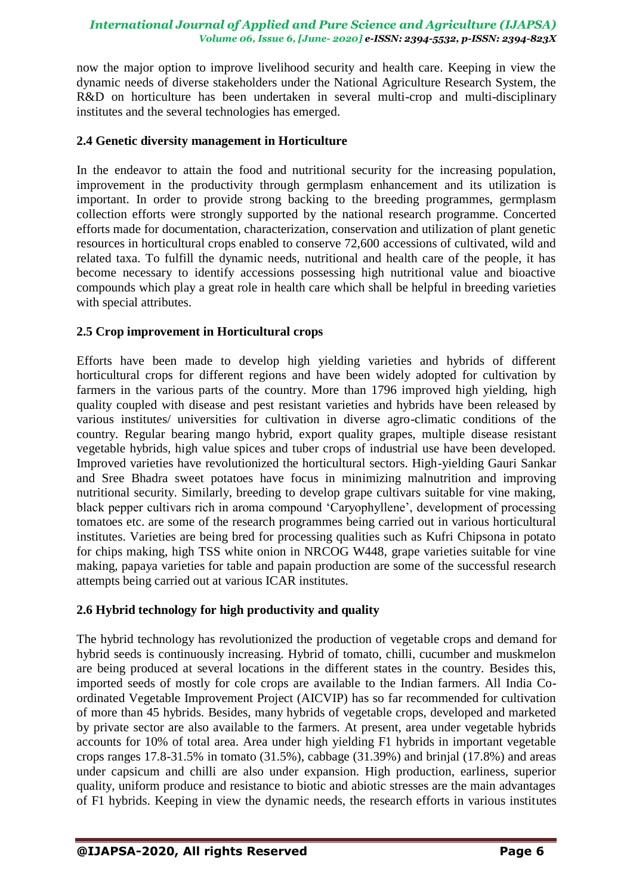now the major option to improve livelihood security and health care. Keeping in view the dynamic needs of diverse stakeholders under the National Agriculture Research System, the R&D on horticulture has been undertaken in several multi-crop and multi-disciplinary institutes and the several technologies has emerged.

## **2.4 Genetic diversity management in Horticulture**

In the endeavor to attain the food and nutritional security for the increasing population, improvement in the productivity through germplasm enhancement and its utilization is important. In order to provide strong backing to the breeding programmes, germplasm collection efforts were strongly supported by the national research programme. Concerted efforts made for documentation, characterization, conservation and utilization of plant genetic resources in horticultural crops enabled to conserve 72,600 accessions of cultivated, wild and related taxa. To fulfill the dynamic needs, nutritional and health care of the people, it has become necessary to identify accessions possessing high nutritional value and bioactive compounds which play a great role in health care which shall be helpful in breeding varieties with special attributes.

## **2.5 Crop improvement in Horticultural crops**

Efforts have been made to develop high yielding varieties and hybrids of different horticultural crops for different regions and have been widely adopted for cultivation by farmers in the various parts of the country. More than 1796 improved high yielding, high quality coupled with disease and pest resistant varieties and hybrids have been released by various institutes/ universities for cultivation in diverse agro-climatic conditions of the country. Regular bearing mango hybrid, export quality grapes, multiple disease resistant vegetable hybrids, high value spices and tuber crops of industrial use have been developed. Improved varieties have revolutionized the horticultural sectors. High-yielding Gauri Sankar and Sree Bhadra sweet potatoes have focus in minimizing malnutrition and improving nutritional security. Similarly, breeding to develop grape cultivars suitable for vine making, black pepper cultivars rich in aroma compound "Caryophyllene", development of processing tomatoes etc. are some of the research programmes being carried out in various horticultural institutes. Varieties are being bred for processing qualities such as Kufri Chipsona in potato for chips making, high TSS white onion in NRCOG W448, grape varieties suitable for vine making, papaya varieties for table and papain production are some of the successful research attempts being carried out at various ICAR institutes.

## **2.6 Hybrid technology for high productivity and quality**

The hybrid technology has revolutionized the production of vegetable crops and demand for hybrid seeds is continuously increasing. Hybrid of tomato, chilli, cucumber and muskmelon are being produced at several locations in the different states in the country. Besides this, imported seeds of mostly for cole crops are available to the Indian farmers. All India Coordinated Vegetable Improvement Project (AICVIP) has so far recommended for cultivation of more than 45 hybrids. Besides, many hybrids of vegetable crops, developed and marketed by private sector are also available to the farmers. At present, area under vegetable hybrids accounts for 10% of total area. Area under high yielding F1 hybrids in important vegetable crops ranges 17.8-31.5% in tomato (31.5%), cabbage (31.39%) and brinjal (17.8%) and areas under capsicum and chilli are also under expansion. High production, earliness, superior quality, uniform produce and resistance to biotic and abiotic stresses are the main advantages of F1 hybrids. Keeping in view the dynamic needs, the research efforts in various institutes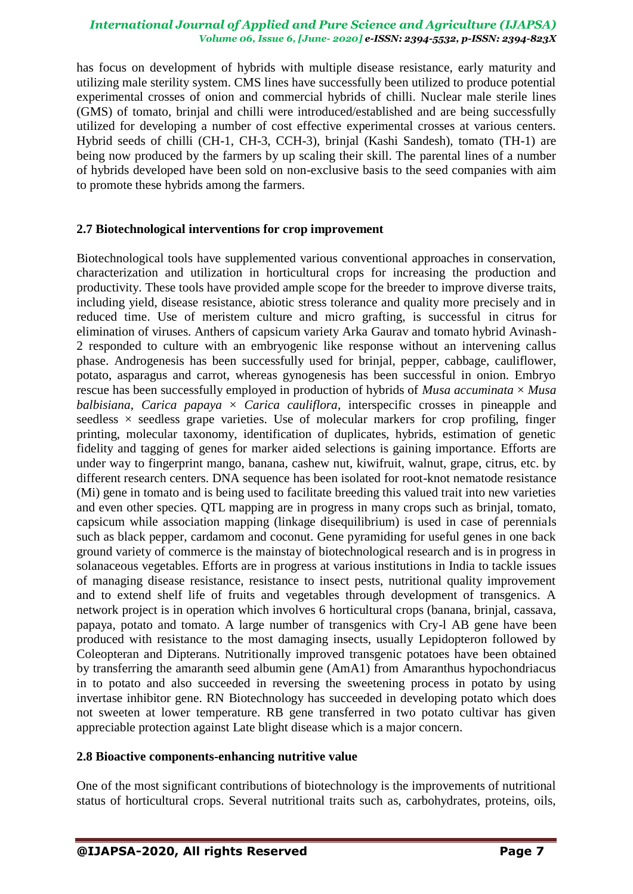has focus on development of hybrids with multiple disease resistance, early maturity and utilizing male sterility system. CMS lines have successfully been utilized to produce potential experimental crosses of onion and commercial hybrids of chilli. Nuclear male sterile lines (GMS) of tomato, brinjal and chilli were introduced/established and are being successfully utilized for developing a number of cost effective experimental crosses at various centers. Hybrid seeds of chilli (CH-1, CH-3, CCH-3), brinjal (Kashi Sandesh), tomato (TH-1) are being now produced by the farmers by up scaling their skill. The parental lines of a number of hybrids developed have been sold on non-exclusive basis to the seed companies with aim to promote these hybrids among the farmers.

## **2.7 Biotechnological interventions for crop improvement**

Biotechnological tools have supplemented various conventional approaches in conservation, characterization and utilization in horticultural crops for increasing the production and productivity. These tools have provided ample scope for the breeder to improve diverse traits, including yield, disease resistance, abiotic stress tolerance and quality more precisely and in reduced time. Use of meristem culture and micro grafting, is successful in citrus for elimination of viruses. Anthers of capsicum variety Arka Gaurav and tomato hybrid Avinash-2 responded to culture with an embryogenic like response without an intervening callus phase. Androgenesis has been successfully used for brinjal, pepper, cabbage, cauliflower, potato, asparagus and carrot, whereas gynogenesis has been successful in onion. Embryo rescue has been successfully employed in production of hybrids of *Musa accuminata* × *Musa balbisiana, Carica papaya*  $\times$  *Carica cauliflora, interspecific crosses in pineapple and* seedless  $\times$  seedless grape varieties. Use of molecular markers for crop profiling, finger printing, molecular taxonomy, identification of duplicates, hybrids, estimation of genetic fidelity and tagging of genes for marker aided selections is gaining importance. Efforts are under way to fingerprint mango, banana, cashew nut, kiwifruit, walnut, grape, citrus, etc. by different research centers. DNA sequence has been isolated for root-knot nematode resistance (Mi) gene in tomato and is being used to facilitate breeding this valued trait into new varieties and even other species. QTL mapping are in progress in many crops such as brinjal, tomato, capsicum while association mapping (linkage disequilibrium) is used in case of perennials such as black pepper, cardamom and coconut. Gene pyramiding for useful genes in one back ground variety of commerce is the mainstay of biotechnological research and is in progress in solanaceous vegetables. Efforts are in progress at various institutions in India to tackle issues of managing disease resistance, resistance to insect pests, nutritional quality improvement and to extend shelf life of fruits and vegetables through development of transgenics. A network project is in operation which involves 6 horticultural crops (banana, brinjal, cassava, papaya, potato and tomato. A large number of transgenics with Cry-l AB gene have been produced with resistance to the most damaging insects, usually Lepidopteron followed by Coleopteran and Dipterans. Nutritionally improved transgenic potatoes have been obtained by transferring the amaranth seed albumin gene (AmA1) from Amaranthus hypochondriacus in to potato and also succeeded in reversing the sweetening process in potato by using invertase inhibitor gene. RN Biotechnology has succeeded in developing potato which does not sweeten at lower temperature. RB gene transferred in two potato cultivar has given appreciable protection against Late blight disease which is a major concern.

## **2.8 Bioactive components-enhancing nutritive value**

One of the most significant contributions of biotechnology is the improvements of nutritional status of horticultural crops. Several nutritional traits such as, carbohydrates, proteins, oils,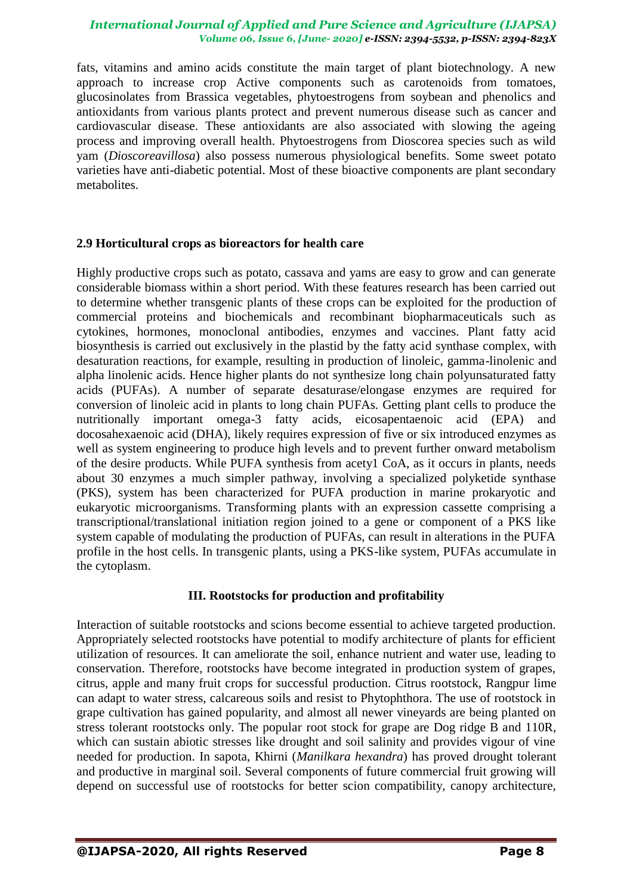fats, vitamins and amino acids constitute the main target of plant biotechnology. A new approach to increase crop Active components such as carotenoids from tomatoes, glucosinolates from Brassica vegetables, phytoestrogens from soybean and phenolics and antioxidants from various plants protect and prevent numerous disease such as cancer and cardiovascular disease. These antioxidants are also associated with slowing the ageing process and improving overall health. Phytoestrogens from Dioscorea species such as wild yam (*Dioscoreavillosa*) also possess numerous physiological benefits. Some sweet potato varieties have anti-diabetic potential. Most of these bioactive components are plant secondary metabolites.

## **2.9 Horticultural crops as bioreactors for health care**

Highly productive crops such as potato, cassava and yams are easy to grow and can generate considerable biomass within a short period. With these features research has been carried out to determine whether transgenic plants of these crops can be exploited for the production of commercial proteins and biochemicals and recombinant biopharmaceuticals such as cytokines, hormones, monoclonal antibodies, enzymes and vaccines. Plant fatty acid biosynthesis is carried out exclusively in the plastid by the fatty acid synthase complex, with desaturation reactions, for example, resulting in production of linoleic, gamma-linolenic and alpha linolenic acids. Hence higher plants do not synthesize long chain polyunsaturated fatty acids (PUFAs). A number of separate desaturase/elongase enzymes are required for conversion of linoleic acid in plants to long chain PUFAs. Getting plant cells to produce the nutritionally important omega-3 fatty acids, eicosapentaenoic acid (EPA) and docosahexaenoic acid (DHA), likely requires expression of five or six introduced enzymes as well as system engineering to produce high levels and to prevent further onward metabolism of the desire products. While PUFA synthesis from acety1 CoA, as it occurs in plants, needs about 30 enzymes a much simpler pathway, involving a specialized polyketide synthase (PKS), system has been characterized for PUFA production in marine prokaryotic and eukaryotic microorganisms. Transforming plants with an expression cassette comprising a transcriptional/translational initiation region joined to a gene or component of a PKS like system capable of modulating the production of PUFAs, can result in alterations in the PUFA profile in the host cells. In transgenic plants, using a PKS-like system, PUFAs accumulate in the cytoplasm.

## **III. Rootstocks for production and profitability**

Interaction of suitable rootstocks and scions become essential to achieve targeted production. Appropriately selected rootstocks have potential to modify architecture of plants for efficient utilization of resources. It can ameliorate the soil, enhance nutrient and water use, leading to conservation. Therefore, rootstocks have become integrated in production system of grapes, citrus, apple and many fruit crops for successful production. Citrus rootstock, Rangpur lime can adapt to water stress, calcareous soils and resist to Phytophthora. The use of rootstock in grape cultivation has gained popularity, and almost all newer vineyards are being planted on stress tolerant rootstocks only. The popular root stock for grape are Dog ridge B and 110R, which can sustain abiotic stresses like drought and soil salinity and provides vigour of vine needed for production. In sapota, Khirni (*Manilkara hexandra*) has proved drought tolerant and productive in marginal soil. Several components of future commercial fruit growing will depend on successful use of rootstocks for better scion compatibility, canopy architecture,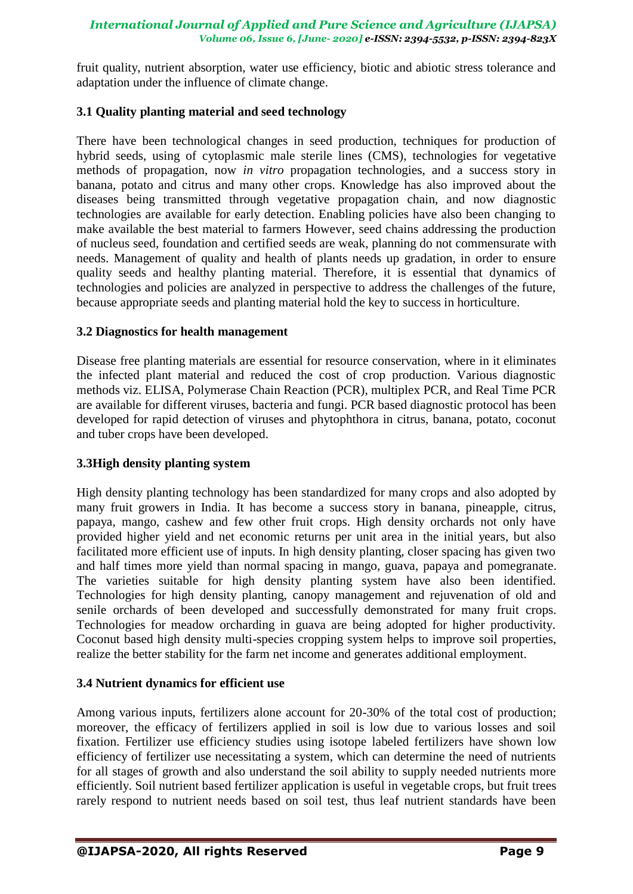fruit quality, nutrient absorption, water use efficiency, biotic and abiotic stress tolerance and adaptation under the influence of climate change.

## **3.1 Quality planting material and seed technology**

There have been technological changes in seed production, techniques for production of hybrid seeds, using of cytoplasmic male sterile lines (CMS), technologies for vegetative methods of propagation, now *in vitro* propagation technologies, and a success story in banana, potato and citrus and many other crops. Knowledge has also improved about the diseases being transmitted through vegetative propagation chain, and now diagnostic technologies are available for early detection. Enabling policies have also been changing to make available the best material to farmers However, seed chains addressing the production of nucleus seed, foundation and certified seeds are weak, planning do not commensurate with needs. Management of quality and health of plants needs up gradation, in order to ensure quality seeds and healthy planting material. Therefore, it is essential that dynamics of technologies and policies are analyzed in perspective to address the challenges of the future, because appropriate seeds and planting material hold the key to success in horticulture.

## **3.2 Diagnostics for health management**

Disease free planting materials are essential for resource conservation, where in it eliminates the infected plant material and reduced the cost of crop production. Various diagnostic methods viz. ELISA, Polymerase Chain Reaction (PCR), multiplex PCR, and Real Time PCR are available for different viruses, bacteria and fungi. PCR based diagnostic protocol has been developed for rapid detection of viruses and phytophthora in citrus, banana, potato, coconut and tuber crops have been developed.

## **3.3High density planting system**

High density planting technology has been standardized for many crops and also adopted by many fruit growers in India. It has become a success story in banana, pineapple, citrus, papaya, mango, cashew and few other fruit crops. High density orchards not only have provided higher yield and net economic returns per unit area in the initial years, but also facilitated more efficient use of inputs. In high density planting, closer spacing has given two and half times more yield than normal spacing in mango, guava, papaya and pomegranate. The varieties suitable for high density planting system have also been identified. Technologies for high density planting, canopy management and rejuvenation of old and senile orchards of been developed and successfully demonstrated for many fruit crops. Technologies for meadow orcharding in guava are being adopted for higher productivity. Coconut based high density multi-species cropping system helps to improve soil properties, realize the better stability for the farm net income and generates additional employment.

## **3.4 Nutrient dynamics for efficient use**

Among various inputs, fertilizers alone account for 20-30% of the total cost of production; moreover, the efficacy of fertilizers applied in soil is low due to various losses and soil fixation. Fertilizer use efficiency studies using isotope labeled fertilizers have shown low efficiency of fertilizer use necessitating a system, which can determine the need of nutrients for all stages of growth and also understand the soil ability to supply needed nutrients more efficiently. Soil nutrient based fertilizer application is useful in vegetable crops, but fruit trees rarely respond to nutrient needs based on soil test, thus leaf nutrient standards have been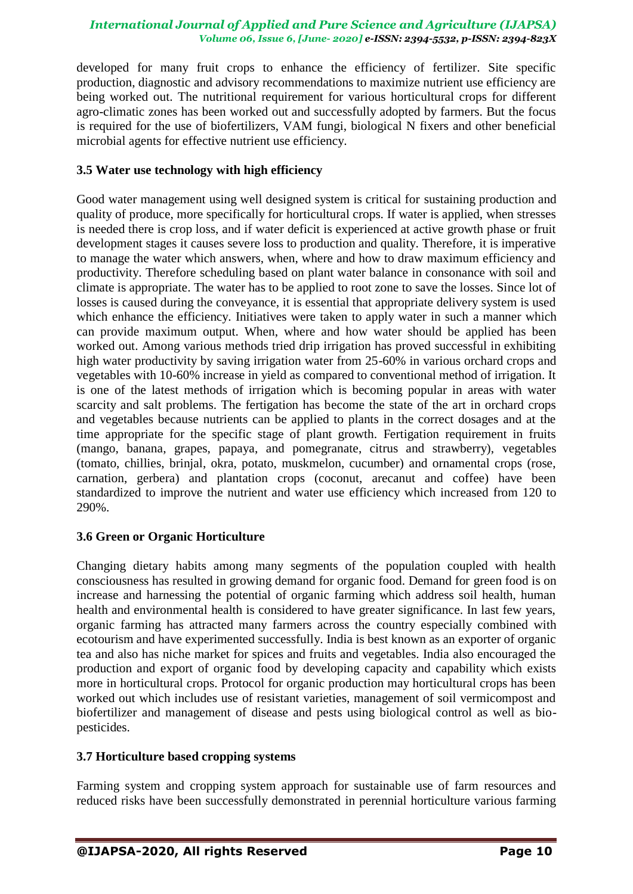developed for many fruit crops to enhance the efficiency of fertilizer. Site specific production, diagnostic and advisory recommendations to maximize nutrient use efficiency are being worked out. The nutritional requirement for various horticultural crops for different agro-climatic zones has been worked out and successfully adopted by farmers. But the focus is required for the use of biofertilizers, VAM fungi, biological N fixers and other beneficial microbial agents for effective nutrient use efficiency.

## **3.5 Water use technology with high efficiency**

Good water management using well designed system is critical for sustaining production and quality of produce, more specifically for horticultural crops. If water is applied, when stresses is needed there is crop loss, and if water deficit is experienced at active growth phase or fruit development stages it causes severe loss to production and quality. Therefore, it is imperative to manage the water which answers, when, where and how to draw maximum efficiency and productivity. Therefore scheduling based on plant water balance in consonance with soil and climate is appropriate. The water has to be applied to root zone to save the losses. Since lot of losses is caused during the conveyance, it is essential that appropriate delivery system is used which enhance the efficiency. Initiatives were taken to apply water in such a manner which can provide maximum output. When, where and how water should be applied has been worked out. Among various methods tried drip irrigation has proved successful in exhibiting high water productivity by saving irrigation water from 25-60% in various orchard crops and vegetables with 10-60% increase in yield as compared to conventional method of irrigation. It is one of the latest methods of irrigation which is becoming popular in areas with water scarcity and salt problems. The fertigation has become the state of the art in orchard crops and vegetables because nutrients can be applied to plants in the correct dosages and at the time appropriate for the specific stage of plant growth. Fertigation requirement in fruits (mango, banana, grapes, papaya, and pomegranate, citrus and strawberry), vegetables (tomato, chillies, brinjal, okra, potato, muskmelon, cucumber) and ornamental crops (rose, carnation, gerbera) and plantation crops (coconut, arecanut and coffee) have been standardized to improve the nutrient and water use efficiency which increased from 120 to 290%.

## **3.6 Green or Organic Horticulture**

Changing dietary habits among many segments of the population coupled with health consciousness has resulted in growing demand for organic food. Demand for green food is on increase and harnessing the potential of organic farming which address soil health, human health and environmental health is considered to have greater significance. In last few years, organic farming has attracted many farmers across the country especially combined with ecotourism and have experimented successfully. India is best known as an exporter of organic tea and also has niche market for spices and fruits and vegetables. India also encouraged the production and export of organic food by developing capacity and capability which exists more in horticultural crops. Protocol for organic production may horticultural crops has been worked out which includes use of resistant varieties, management of soil vermicompost and biofertilizer and management of disease and pests using biological control as well as biopesticides.

## **3.7 Horticulture based cropping systems**

Farming system and cropping system approach for sustainable use of farm resources and reduced risks have been successfully demonstrated in perennial horticulture various farming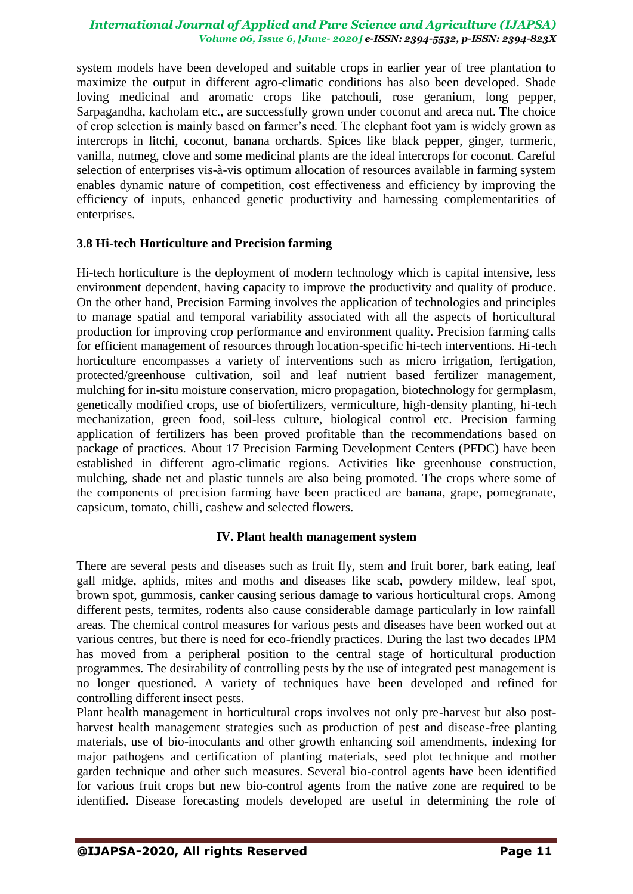system models have been developed and suitable crops in earlier year of tree plantation to maximize the output in different agro-climatic conditions has also been developed. Shade loving medicinal and aromatic crops like patchouli, rose geranium, long pepper, Sarpagandha, kacholam etc., are successfully grown under coconut and areca nut. The choice of crop selection is mainly based on farmer"s need. The elephant foot yam is widely grown as intercrops in litchi, coconut, banana orchards. Spices like black pepper, ginger, turmeric, vanilla, nutmeg, clove and some medicinal plants are the ideal intercrops for coconut. Careful selection of enterprises vis-à-vis optimum allocation of resources available in farming system enables dynamic nature of competition, cost effectiveness and efficiency by improving the efficiency of inputs, enhanced genetic productivity and harnessing complementarities of enterprises.

## **3.8 Hi-tech Horticulture and Precision farming**

Hi-tech horticulture is the deployment of modern technology which is capital intensive, less environment dependent, having capacity to improve the productivity and quality of produce. On the other hand, Precision Farming involves the application of technologies and principles to manage spatial and temporal variability associated with all the aspects of horticultural production for improving crop performance and environment quality. Precision farming calls for efficient management of resources through location-specific hi-tech interventions. Hi-tech horticulture encompasses a variety of interventions such as micro irrigation, fertigation, protected/greenhouse cultivation, soil and leaf nutrient based fertilizer management, mulching for in-situ moisture conservation, micro propagation, biotechnology for germplasm, genetically modified crops, use of biofertilizers, vermiculture, high-density planting, hi-tech mechanization, green food, soil-less culture, biological control etc. Precision farming application of fertilizers has been proved profitable than the recommendations based on package of practices. About 17 Precision Farming Development Centers (PFDC) have been established in different agro-climatic regions. Activities like greenhouse construction, mulching, shade net and plastic tunnels are also being promoted. The crops where some of the components of precision farming have been practiced are banana, grape, pomegranate, capsicum, tomato, chilli, cashew and selected flowers.

## **IV. Plant health management system**

There are several pests and diseases such as fruit fly, stem and fruit borer, bark eating, leaf gall midge, aphids, mites and moths and diseases like scab, powdery mildew, leaf spot, brown spot, gummosis, canker causing serious damage to various horticultural crops. Among different pests, termites, rodents also cause considerable damage particularly in low rainfall areas. The chemical control measures for various pests and diseases have been worked out at various centres, but there is need for eco-friendly practices. During the last two decades IPM has moved from a peripheral position to the central stage of horticultural production programmes. The desirability of controlling pests by the use of integrated pest management is no longer questioned. A variety of techniques have been developed and refined for controlling different insect pests.

Plant health management in horticultural crops involves not only pre-harvest but also postharvest health management strategies such as production of pest and disease-free planting materials, use of bio-inoculants and other growth enhancing soil amendments, indexing for major pathogens and certification of planting materials, seed plot technique and mother garden technique and other such measures. Several bio-control agents have been identified for various fruit crops but new bio-control agents from the native zone are required to be identified. Disease forecasting models developed are useful in determining the role of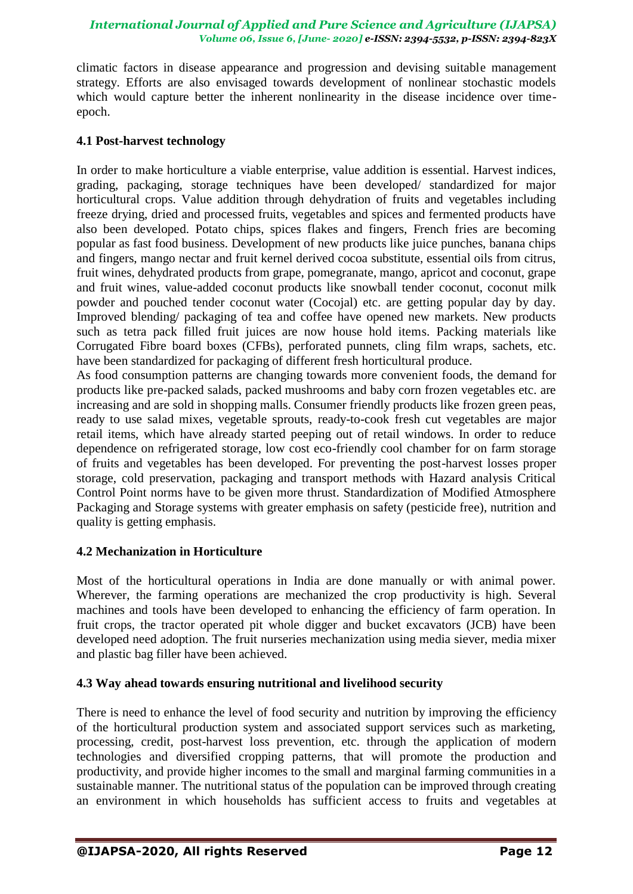climatic factors in disease appearance and progression and devising suitable management strategy. Efforts are also envisaged towards development of nonlinear stochastic models which would capture better the inherent nonlinearity in the disease incidence over timeepoch.

## **4.1 Post-harvest technology**

In order to make horticulture a viable enterprise, value addition is essential. Harvest indices, grading, packaging, storage techniques have been developed/ standardized for major horticultural crops. Value addition through dehydration of fruits and vegetables including freeze drying, dried and processed fruits, vegetables and spices and fermented products have also been developed. Potato chips, spices flakes and fingers, French fries are becoming popular as fast food business. Development of new products like juice punches, banana chips and fingers, mango nectar and fruit kernel derived cocoa substitute, essential oils from citrus, fruit wines, dehydrated products from grape, pomegranate, mango, apricot and coconut, grape and fruit wines, value-added coconut products like snowball tender coconut, coconut milk powder and pouched tender coconut water (Cocojal) etc. are getting popular day by day. Improved blending/ packaging of tea and coffee have opened new markets. New products such as tetra pack filled fruit juices are now house hold items. Packing materials like Corrugated Fibre board boxes (CFBs), perforated punnets, cling film wraps, sachets, etc. have been standardized for packaging of different fresh horticultural produce.

As food consumption patterns are changing towards more convenient foods, the demand for products like pre-packed salads, packed mushrooms and baby corn frozen vegetables etc. are increasing and are sold in shopping malls. Consumer friendly products like frozen green peas, ready to use salad mixes, vegetable sprouts, ready-to-cook fresh cut vegetables are major retail items, which have already started peeping out of retail windows. In order to reduce dependence on refrigerated storage, low cost eco-friendly cool chamber for on farm storage of fruits and vegetables has been developed. For preventing the post-harvest losses proper storage, cold preservation, packaging and transport methods with Hazard analysis Critical Control Point norms have to be given more thrust. Standardization of Modified Atmosphere Packaging and Storage systems with greater emphasis on safety (pesticide free), nutrition and quality is getting emphasis.

## **4.2 Mechanization in Horticulture**

Most of the horticultural operations in India are done manually or with animal power. Wherever, the farming operations are mechanized the crop productivity is high. Several machines and tools have been developed to enhancing the efficiency of farm operation. In fruit crops, the tractor operated pit whole digger and bucket excavators (JCB) have been developed need adoption. The fruit nurseries mechanization using media siever, media mixer and plastic bag filler have been achieved.

## **4.3 Way ahead towards ensuring nutritional and livelihood security**

There is need to enhance the level of food security and nutrition by improving the efficiency of the horticultural production system and associated support services such as marketing, processing, credit, post-harvest loss prevention, etc. through the application of modern technologies and diversified cropping patterns, that will promote the production and productivity, and provide higher incomes to the small and marginal farming communities in a sustainable manner. The nutritional status of the population can be improved through creating an environment in which households has sufficient access to fruits and vegetables at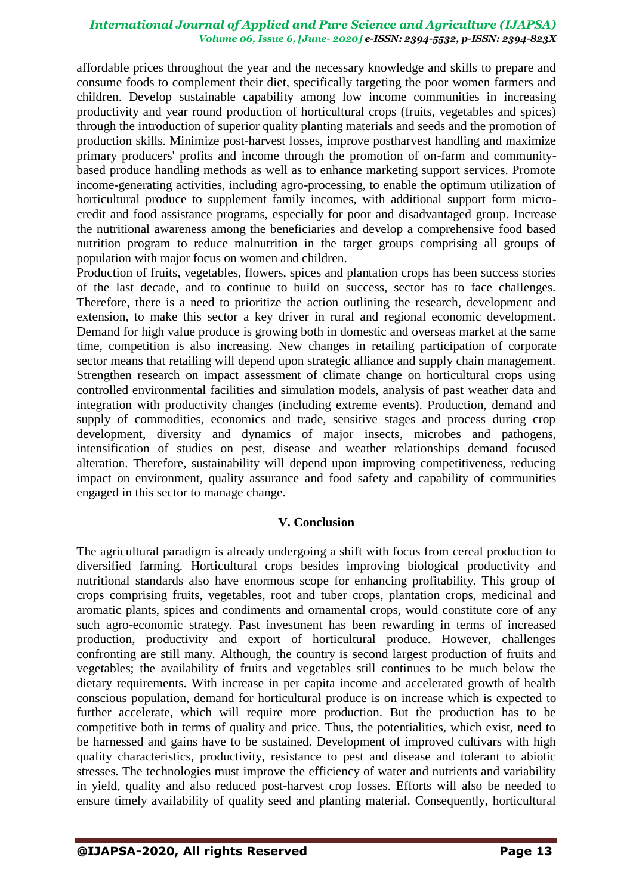affordable prices throughout the year and the necessary knowledge and skills to prepare and consume foods to complement their diet, specifically targeting the poor women farmers and children. Develop sustainable capability among low income communities in increasing productivity and year round production of horticultural crops (fruits, vegetables and spices) through the introduction of superior quality planting materials and seeds and the promotion of production skills. Minimize post-harvest losses, improve postharvest handling and maximize primary producers' profits and income through the promotion of on-farm and communitybased produce handling methods as well as to enhance marketing support services. Promote income-generating activities, including agro-processing, to enable the optimum utilization of horticultural produce to supplement family incomes, with additional support form microcredit and food assistance programs, especially for poor and disadvantaged group. Increase the nutritional awareness among the beneficiaries and develop a comprehensive food based nutrition program to reduce malnutrition in the target groups comprising all groups of population with major focus on women and children.

Production of fruits, vegetables, flowers, spices and plantation crops has been success stories of the last decade, and to continue to build on success, sector has to face challenges. Therefore, there is a need to prioritize the action outlining the research, development and extension, to make this sector a key driver in rural and regional economic development. Demand for high value produce is growing both in domestic and overseas market at the same time, competition is also increasing. New changes in retailing participation of corporate sector means that retailing will depend upon strategic alliance and supply chain management. Strengthen research on impact assessment of climate change on horticultural crops using controlled environmental facilities and simulation models, analysis of past weather data and integration with productivity changes (including extreme events). Production, demand and supply of commodities, economics and trade, sensitive stages and process during crop development, diversity and dynamics of major insects, microbes and pathogens, intensification of studies on pest, disease and weather relationships demand focused alteration. Therefore, sustainability will depend upon improving competitiveness, reducing impact on environment, quality assurance and food safety and capability of communities engaged in this sector to manage change.

## **V. Conclusion**

The agricultural paradigm is already undergoing a shift with focus from cereal production to diversified farming. Horticultural crops besides improving biological productivity and nutritional standards also have enormous scope for enhancing profitability. This group of crops comprising fruits, vegetables, root and tuber crops, plantation crops, medicinal and aromatic plants, spices and condiments and ornamental crops, would constitute core of any such agro-economic strategy. Past investment has been rewarding in terms of increased production, productivity and export of horticultural produce. However, challenges confronting are still many. Although, the country is second largest production of fruits and vegetables; the availability of fruits and vegetables still continues to be much below the dietary requirements. With increase in per capita income and accelerated growth of health conscious population, demand for horticultural produce is on increase which is expected to further accelerate, which will require more production. But the production has to be competitive both in terms of quality and price. Thus, the potentialities, which exist, need to be harnessed and gains have to be sustained. Development of improved cultivars with high quality characteristics, productivity, resistance to pest and disease and tolerant to abiotic stresses. The technologies must improve the efficiency of water and nutrients and variability in yield, quality and also reduced post-harvest crop losses. Efforts will also be needed to ensure timely availability of quality seed and planting material. Consequently, horticultural